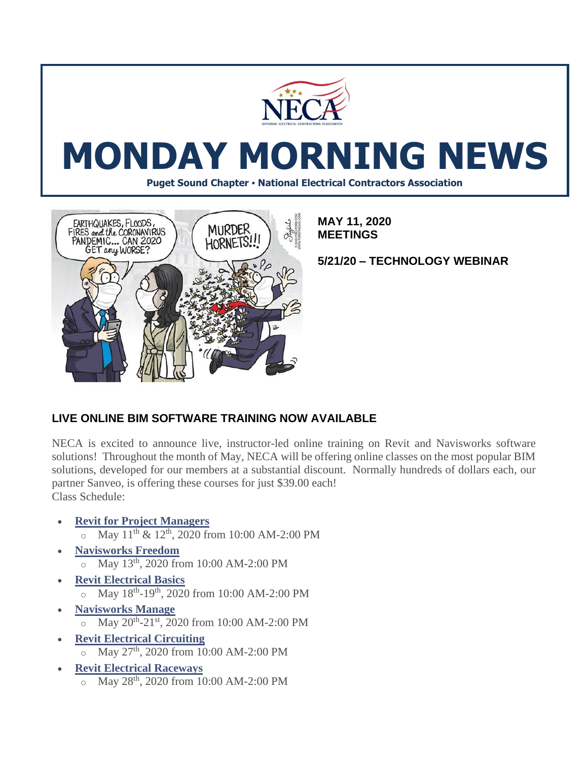

# **MONDAY MORNING NEWS**

**Puget Sound Chapter • National Electrical Contractors Association**



**MAY 11, 2020 MEETINGS**

**5/21/20 – TECHNOLOGY WEBINAR**

## **LIVE ONLINE BIM SOFTWARE TRAINING NOW AVAILABLE**

NECA is excited to announce live, instructor-led online training on Revit and Navisworks software solutions! Throughout the month of May, NECA will be offering online classes on the most popular BIM solutions, developed for our members at a substantial discount. Normally hundreds of dollars each, our partner Sanveo, is offering these courses for just \$39.00 each! Class Schedule:

- **[Revit for Project Managers](https://courses.necanet.org/course/session/details/622)**   $\alpha$  May 11<sup>th</sup> & 12<sup>th</sup>, 2020 from 10:00 AM-2:00 PM
- **[Navisworks Freedom](https://courses.necanet.org/course/session/details/624)**  $\circ$  May 13<sup>th</sup>, 2020 from 10:00 AM-2:00 PM
- **[Revit Electrical Basics](https://courses.necanet.org/course/session/details/626)**
	- $\circ$  May 18<sup>th</sup>-19<sup>th</sup>, 2020 from 10:00 AM-2:00 PM
- **[Navisworks Manage](https://courses.necanet.org/course/session/details/621)**  $\circ$  May 20<sup>th</sup>-21<sup>st</sup>, 2020 from 10:00 AM-2:00 PM
- **[Revit Electrical Circuiting](https://courses.necanet.org/course/session/details/623)**  $\sigma$  May 27<sup>th</sup>, 2020 from 10:00 AM-2:00 PM
- **[Revit Electrical Raceways](https://courses.necanet.org/course/session/details/625)** o May 28th, 2020 from 10:00 AM-2:00 PM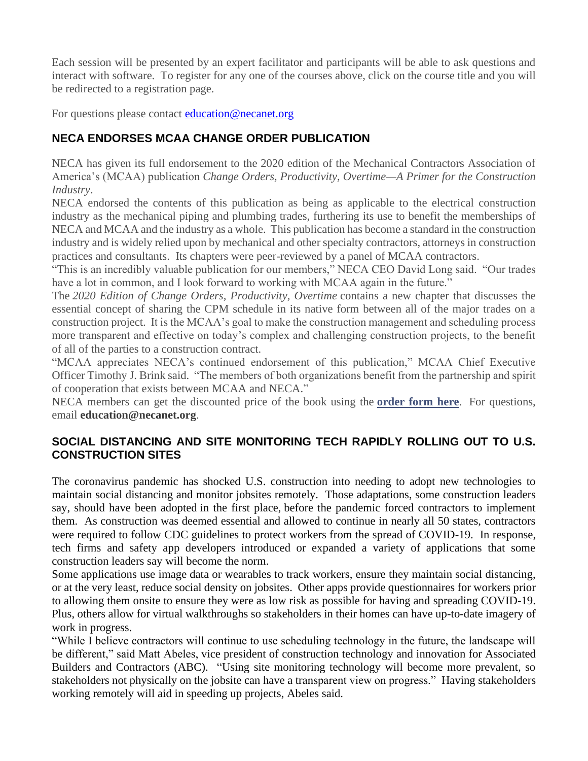Each session will be presented by an expert facilitator and participants will be able to ask questions and interact with software. To register for any one of the courses above, click on the course title and you will be redirected to a registration page.

For questions please contact [education@necanet.org](mailto:education@necanet.org)

## **NECA ENDORSES MCAA CHANGE ORDER PUBLICATION**

NECA has given its full endorsement to the 2020 edition of the Mechanical Contractors Association of America's (MCAA) publication *Change Orders, Productivity, Overtime—A Primer for the Construction Industry*.

NECA endorsed the contents of this publication as being as applicable to the electrical construction industry as the mechanical piping and plumbing trades, furthering its use to benefit the memberships of NECA and MCAA and the industry as a whole. This publication has become a standard in the construction industry and is widely relied upon by mechanical and other specialty contractors, attorneys in construction practices and consultants. Its chapters were peer-reviewed by a panel of MCAA contractors.

"This is an incredibly valuable publication for our members," NECA CEO David Long said. "Our trades have a lot in common, and I look forward to working with MCAA again in the future."

The *2020 Edition of Change Orders, Productivity, Overtime* contains a new chapter that discusses the essential concept of sharing the CPM schedule in its native form between all of the major trades on a construction project. It is the MCAA's goal to make the construction management and scheduling process more transparent and effective on today's complex and challenging construction projects, to the benefit of all of the parties to a construction contract.

"MCAA appreciates NECA's continued endorsement of this publication," MCAA Chief Executive Officer Timothy J. Brink said. "The members of both organizations benefit from the partnership and spirit of cooperation that exists between MCAA and NECA."

NECA members can get the discounted price of the book using the **[order form here](https://www.necanet.org/docs/default-source/default-document-library/mcaa-resource-order-form-neca-pci6d12cce2a0366681b630ff0a00347198.pdf?sfvrsn=2)**. For questions, email **[education@necanet.org](mailto:education@necanet.org)**.

#### **SOCIAL DISTANCING AND SITE MONITORING TECH RAPIDLY ROLLING OUT TO U.S. CONSTRUCTION SITES**

The coronavirus pandemic has shocked U.S. construction into needing to adopt new technologies to maintain social distancing and monitor jobsites remotely. Those adaptations, some construction leaders say, should have been adopted in the first place, before the pandemic forced contractors to implement them. As construction was deemed essential and allowed to continue in nearly all 50 states, contractors were required to follow CDC guidelines to protect workers from the spread of COVID-19. In response, tech firms and safety app developers introduced or expanded a variety of applications that some construction leaders say will become the norm.

Some applications use image data or wearables to track workers, ensure they maintain social distancing, or at the very least, reduce social density on jobsites. Other apps provide questionnaires for workers prior to allowing them onsite to ensure they were as low risk as possible for having and spreading COVID-19. Plus, others allow for virtual walkthroughs so stakeholders in their homes can have up-to-date imagery of work in progress.

"While I believe contractors will continue to use scheduling technology in the future, the landscape will be different," said Matt Abeles, vice president of construction technology and innovation for Associated Builders and Contractors (ABC). "Using site monitoring technology will become more prevalent, so stakeholders not physically on the jobsite can have a transparent view on progress." Having stakeholders working remotely will aid in speeding up projects, Abeles said.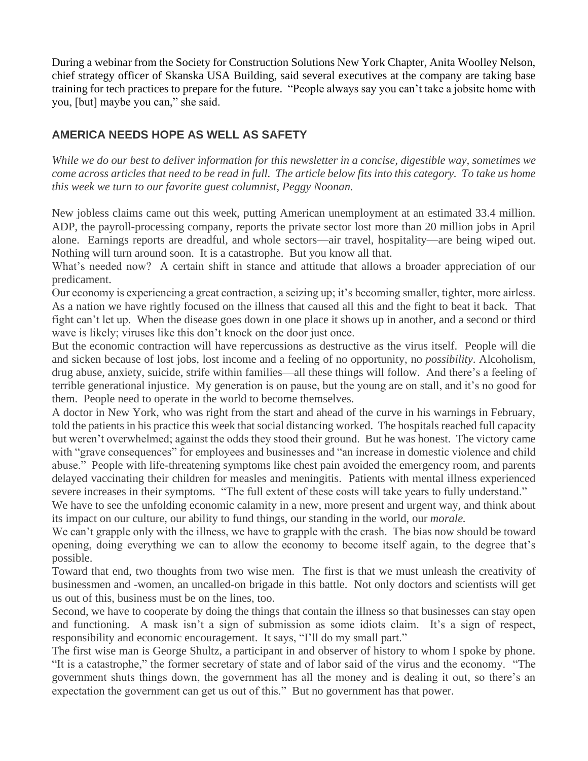During a webinar from the Society for Construction Solutions New York Chapter, Anita Woolley Nelson, chief strategy officer of Skanska USA Building, said several executives at the company are taking base training for tech practices to prepare for the future. "People always say you can't take a jobsite home with you, [but] maybe you can," she said.

#### **AMERICA NEEDS HOPE AS WELL AS SAFETY**

*While we do our best to deliver information for this newsletter in a concise, digestible way, sometimes we come across articles that need to be read in full. The article below fits into this category. To take us home this week we turn to our favorite guest columnist, Peggy Noonan.* 

New jobless claims came out this week, putting American unemployment at an estimated 33.4 million. ADP, the payroll-processing company, reports the private sector lost more than 20 million jobs in April alone. Earnings reports are dreadful, and whole sectors—air travel, hospitality—are being wiped out. Nothing will turn around soon. It is a catastrophe. But you know all that.

What's needed now? A certain shift in stance and attitude that allows a broader appreciation of our predicament.

Our economy is experiencing a great contraction, a seizing up; it's becoming smaller, tighter, more airless. As a nation we have rightly focused on the illness that caused all this and the fight to beat it back. That fight can't let up. When the disease goes down in one place it shows up in another, and a second or third wave is likely; viruses like this don't knock on the door just once.

But the economic contraction will have repercussions as destructive as the virus itself. People will die and sicken because of lost jobs, lost income and a feeling of no opportunity, no *possibility*. Alcoholism, drug abuse, anxiety, suicide, strife within families—all these things will follow. And there's a feeling of terrible generational injustice. My generation is on pause, but the young are on stall, and it's no good for them. People need to operate in the world to become themselves.

A doctor in New York, who was right from the start and ahead of the curve in his warnings in February, told the patients in his practice this week that social distancing worked. The hospitals reached full capacity but weren't overwhelmed; against the odds they stood their ground. But he was honest. The victory came with "grave consequences" for employees and businesses and "an increase in domestic violence and child abuse." People with life-threatening symptoms like chest pain avoided the emergency room, and parents delayed vaccinating their children for measles and meningitis. Patients with mental illness experienced severe increases in their symptoms. "The full extent of these costs will take years to fully understand."

We have to see the unfolding economic calamity in a new, more present and urgent way, and think about its impact on our culture, our ability to fund things, our standing in the world, our *morale.*

We can't grapple only with the illness, we have to grapple with the crash. The bias now should be toward opening, doing everything we can to allow the economy to become itself again, to the degree that's possible.

Toward that end, two thoughts from two wise men. The first is that we must unleash the creativity of businessmen and -women, an uncalled-on brigade in this battle. Not only doctors and scientists will get us out of this, business must be on the lines, too.

Second, we have to cooperate by doing the things that contain the illness so that businesses can stay open and functioning. A mask isn't a sign of submission as some idiots claim. It's a sign of respect, responsibility and economic encouragement. It says, "I'll do my small part."

The first wise man is George Shultz, a participant in and observer of history to whom I spoke by phone. "It is a catastrophe," the former secretary of state and of labor said of the virus and the economy. "The government shuts things down, the government has all the money and is dealing it out, so there's an expectation the government can get us out of this." But no government has that power.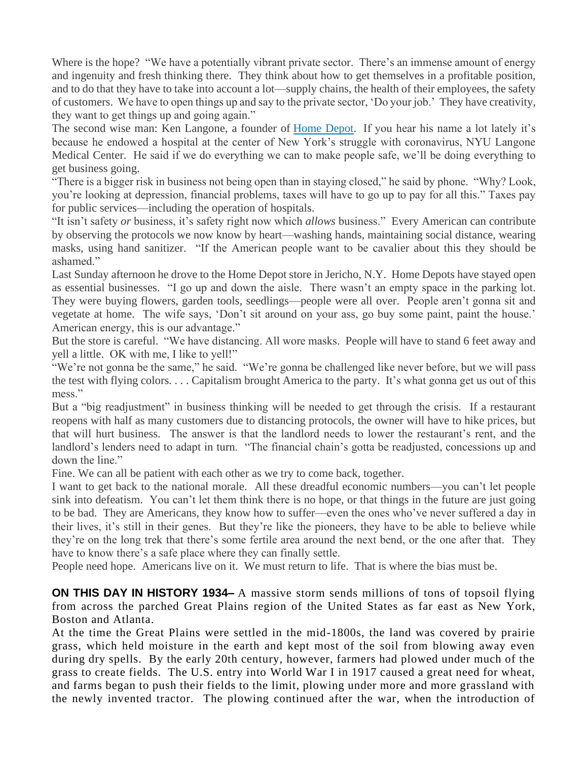Where is the hope? "We have a potentially vibrant private sector. There's an immense amount of energy and ingenuity and fresh thinking there. They think about how to get themselves in a profitable position, and to do that they have to take into account a lot—supply chains, the health of their employees, the safety of customers. We have to open things up and say to the private sector, 'Do your job.' They have creativity, they want to get things up and going again."

The second wise man: Ken Langone, a founder of [Home Depot.](https://www.wsj.com/market-data/quotes/HD) If you hear his name a lot lately it's because he endowed a hospital at the center of New York's struggle with coronavirus, NYU Langone Medical Center. He said if we do everything we can to make people safe, we'll be doing everything to get business going.

"There is a bigger risk in business not being open than in staying closed," he said by phone. "Why? Look, you're looking at depression, financial problems, taxes will have to go up to pay for all this." Taxes pay for public services—including the operation of hospitals.

"It isn't safety *or* business, it's safety right now which *allows* business." Every American can contribute by observing the protocols we now know by heart—washing hands, maintaining social distance, wearing masks, using hand sanitizer. "If the American people want to be cavalier about this they should be ashamed."

Last Sunday afternoon he drove to the Home Depot store in Jericho, N.Y. Home Depots have stayed open as essential businesses. "I go up and down the aisle. There wasn't an empty space in the parking lot. They were buying flowers, garden tools, seedlings—people were all over. People aren't gonna sit and vegetate at home. The wife says, 'Don't sit around on your ass, go buy some paint, paint the house.' American energy, this is our advantage."

But the store is careful. "We have distancing. All wore masks. People will have to stand 6 feet away and yell a little. OK with me, I like to yell!"

"We're not gonna be the same," he said. "We're gonna be challenged like never before, but we will pass the test with flying colors. . . . Capitalism brought America to the party. It's what gonna get us out of this mess."

But a "big readjustment" in business thinking will be needed to get through the crisis. If a restaurant reopens with half as many customers due to distancing protocols, the owner will have to hike prices, but that will hurt business. The answer is that the landlord needs to lower the restaurant's rent, and the landlord's lenders need to adapt in turn. "The financial chain's gotta be readjusted, concessions up and down the line."

Fine. We can all be patient with each other as we try to come back, together.

I want to get back to the national morale. All these dreadful economic numbers—you can't let people sink into defeatism. You can't let them think there is no hope, or that things in the future are just going to be bad. They are Americans, they know how to suffer—even the ones who've never suffered a day in their lives, it's still in their genes. But they're like the pioneers, they have to be able to believe while they're on the long trek that there's some fertile area around the next bend, or the one after that. They have to know there's a safe place where they can finally settle.

People need hope. Americans live on it. We must return to life. That is where the bias must be.

**ON THIS DAY IN HISTORY 1934–** A massive storm sends millions of tons of topsoil flying from across the parched Great Plains region of the United States as far east as [New York,](https://www.history.com/topics/us-states/new-york) Boston and Atlanta.

At the time the Great Plains were settled in the mid-1800s, the land was covered by prairie grass, which held moisture in the earth and kept most of the soil from blowing away even during dry spells. By the early 20th century, however, farmers had plowed under much of the grass to create fields. The U.S. entry into [World War I](https://www.history.com/topics/world-war-i) in 1917 caused a great need for wheat, and farms began to push their fields to the limit, plowing under more and more grassland with the newly invented tractor. The plowing continued after the war, when the introduction of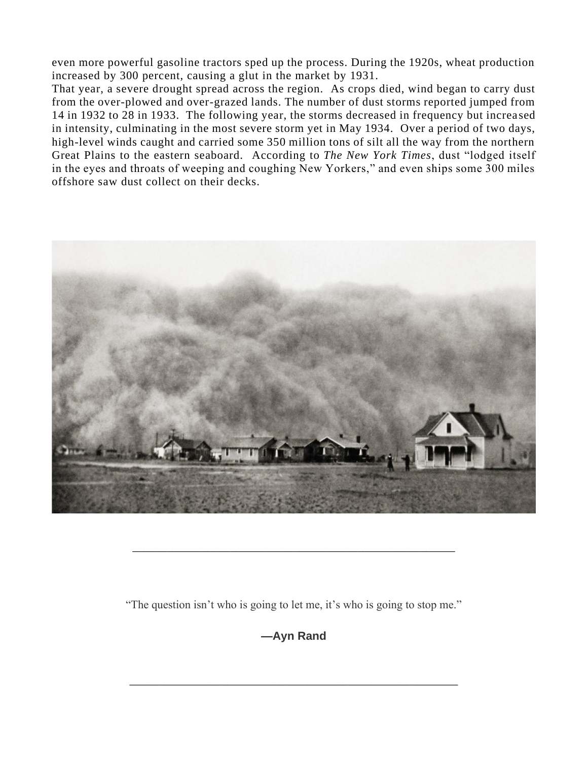even more powerful gasoline tractors sped up the process. During the 1920s, wheat production increased by 300 percent, causing a glut in the market by 1931.

That year, a severe drought spread across the region. As crops died, wind began to carry dust from the over-plowed and over-grazed lands. The number of dust storms reported jumped from 14 in 1932 to 28 in 1933. The following year, the storms decreased in frequency but increa sed in intensity, culminating in the most severe storm yet in May 1934. Over a period of two days, high-level winds caught and carried some 350 million tons of silt all the way from the northern Great Plains to the eastern seaboard. According to *The New York Times*, dust "lodged itself in the eyes and throats of weeping and coughing New Yorkers," and even ships some 300 miles offshore saw dust collect on their decks.



"The question isn't who is going to let me, it's who is going to stop me."

\_\_\_\_\_\_\_\_\_\_\_\_\_\_\_\_\_\_\_\_\_\_\_\_\_\_\_\_\_\_\_\_\_\_\_\_\_\_\_\_\_\_\_\_\_\_\_\_\_\_\_\_\_\_\_\_

**—Ayn Rand**

\_\_\_\_\_\_\_\_\_\_\_\_\_\_\_\_\_\_\_\_\_\_\_\_\_\_\_\_\_\_\_\_\_\_\_\_\_\_\_\_\_\_\_\_\_\_\_\_\_\_\_\_\_\_\_\_\_